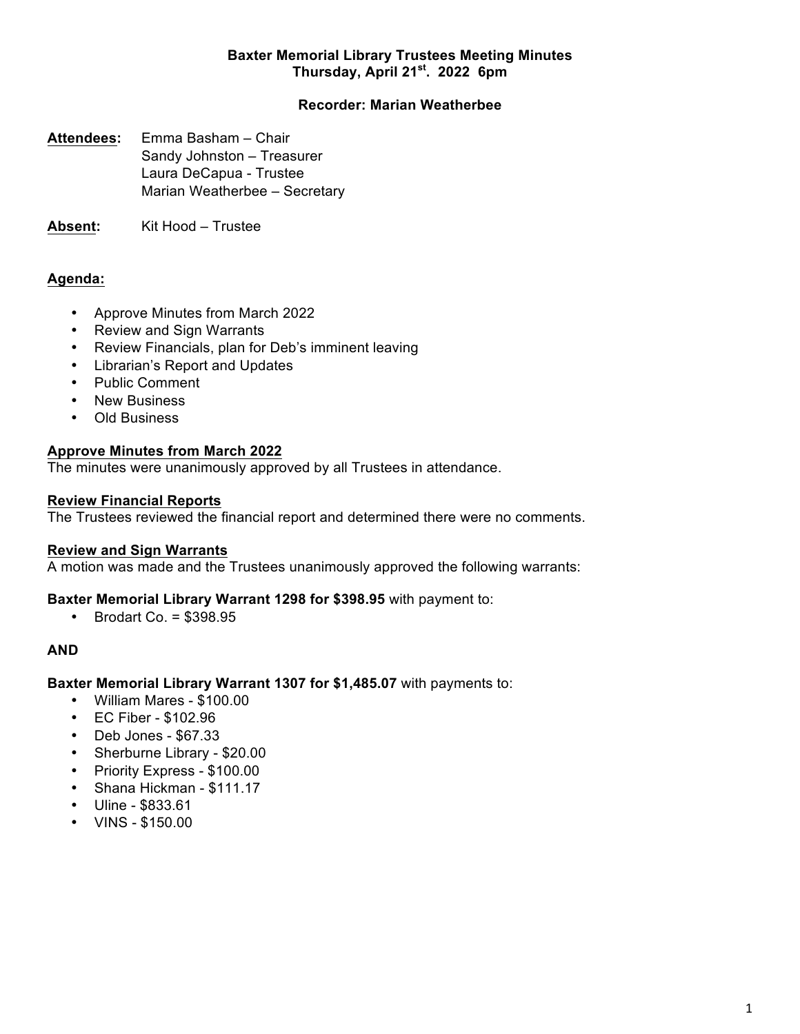## **Baxter Memorial Library Trustees Meeting Minutes Thursday, April 21st. 2022 6pm**

## **Recorder: Marian Weatherbee**

**Attendees:** Emma Basham – Chair Sandy Johnston – Treasurer Laura DeCapua - Trustee Marian Weatherbee – Secretary

**Absent:** Kit Hood – Trustee

# **Agenda:**

- Approve Minutes from March 2022
- Review and Sign Warrants
- Review Financials, plan for Deb's imminent leaving
- Librarian's Report and Updates
- Public Comment
- New Business
- Old Business

# **Approve Minutes from March 2022**

The minutes were unanimously approved by all Trustees in attendance.

## **Review Financial Reports**

The Trustees reviewed the financial report and determined there were no comments.

## **Review and Sign Warrants**

A motion was made and the Trustees unanimously approved the following warrants:

## **Baxter Memorial Library Warrant 1298 for \$398.95** with payment to:

• Brodart Co. = \$398.95

## **AND**

## **Baxter Memorial Library Warrant 1307 for \$1,485.07** with payments to:

- William Mares \$100.00
- EC Fiber \$102.96
- Deb Jones \$67.33
- Sherburne Library \$20.00
- Priority Express \$100.00
- Shana Hickman \$111.17
- Uline \$833.61
- VINS \$150.00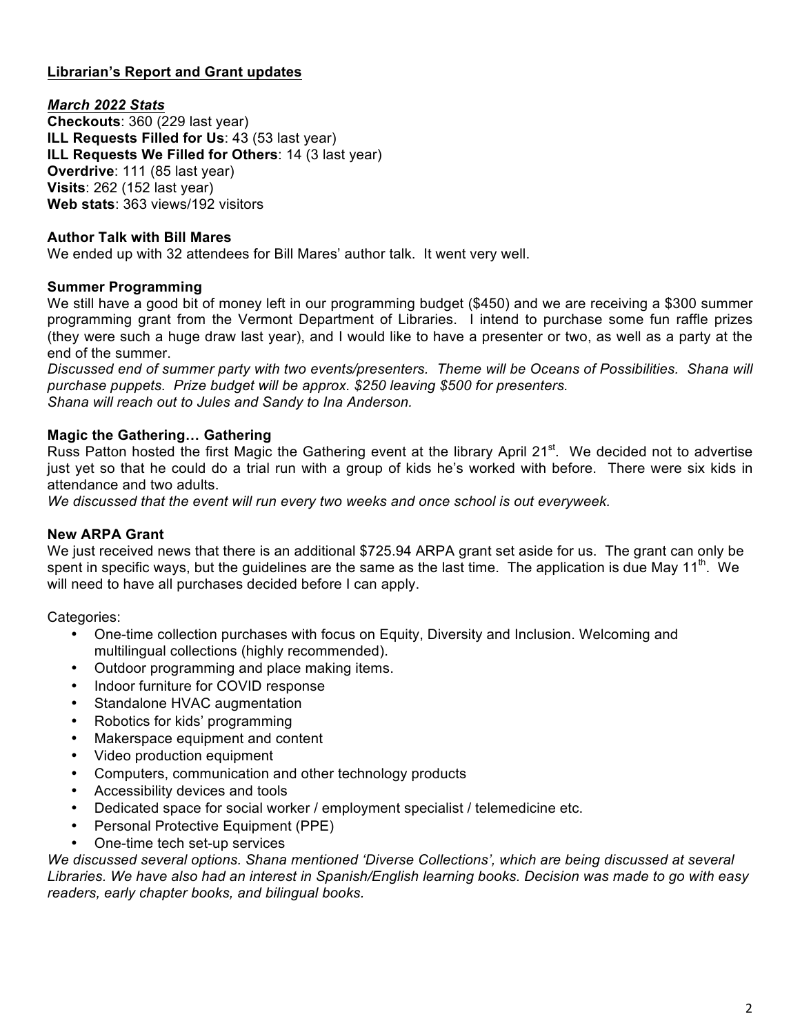# **Librarian's Report and Grant updates**

## *March 2022 Stats*

**Checkouts**: 360 (229 last year) **ILL Requests Filled for Us**: 43 (53 last year) **ILL Requests We Filled for Others**: 14 (3 last year) **Overdrive**: 111 (85 last year) **Visits**: 262 (152 last year) **Web stats**: 363 views/192 visitors

### **Author Talk with Bill Mares**

We ended up with 32 attendees for Bill Mares' author talk. It went very well.

### **Summer Programming**

We still have a good bit of money left in our programming budget (\$450) and we are receiving a \$300 summer programming grant from the Vermont Department of Libraries. I intend to purchase some fun raffle prizes (they were such a huge draw last year), and I would like to have a presenter or two, as well as a party at the end of the summer.

*Discussed end of summer party with two events/presenters. Theme will be Oceans of Possibilities. Shana will purchase puppets. Prize budget will be approx. \$250 leaving \$500 for presenters. Shana will reach out to Jules and Sandy to Ina Anderson.*

### **Magic the Gathering… Gathering**

Russ Patton hosted the first Magic the Gathering event at the library April 21<sup>st</sup>. We decided not to advertise just yet so that he could do a trial run with a group of kids he's worked with before. There were six kids in attendance and two adults.

*We discussed that the event will run every two weeks and once school is out everyweek.*

#### **New ARPA Grant**

We just received news that there is an additional \$725.94 ARPA grant set aside for us. The grant can only be spent in specific ways, but the guidelines are the same as the last time. The application is due May 11<sup>th</sup>. We will need to have all purchases decided before I can apply.

Categories:

- One-time collection purchases with focus on Equity, Diversity and Inclusion. Welcoming and multilingual collections (highly recommended).
- Outdoor programming and place making items.
- Indoor furniture for COVID response
- Standalone HVAC augmentation
- Robotics for kids' programming
- Makerspace equipment and content
- Video production equipment
- Computers, communication and other technology products
- Accessibility devices and tools
- Dedicated space for social worker / employment specialist / telemedicine etc.
- Personal Protective Equipment (PPE)
- One-time tech set-up services

*We discussed several options. Shana mentioned 'Diverse Collections', which are being discussed at several Libraries. We have also had an interest in Spanish/English learning books. Decision was made to go with easy readers, early chapter books, and bilingual books.*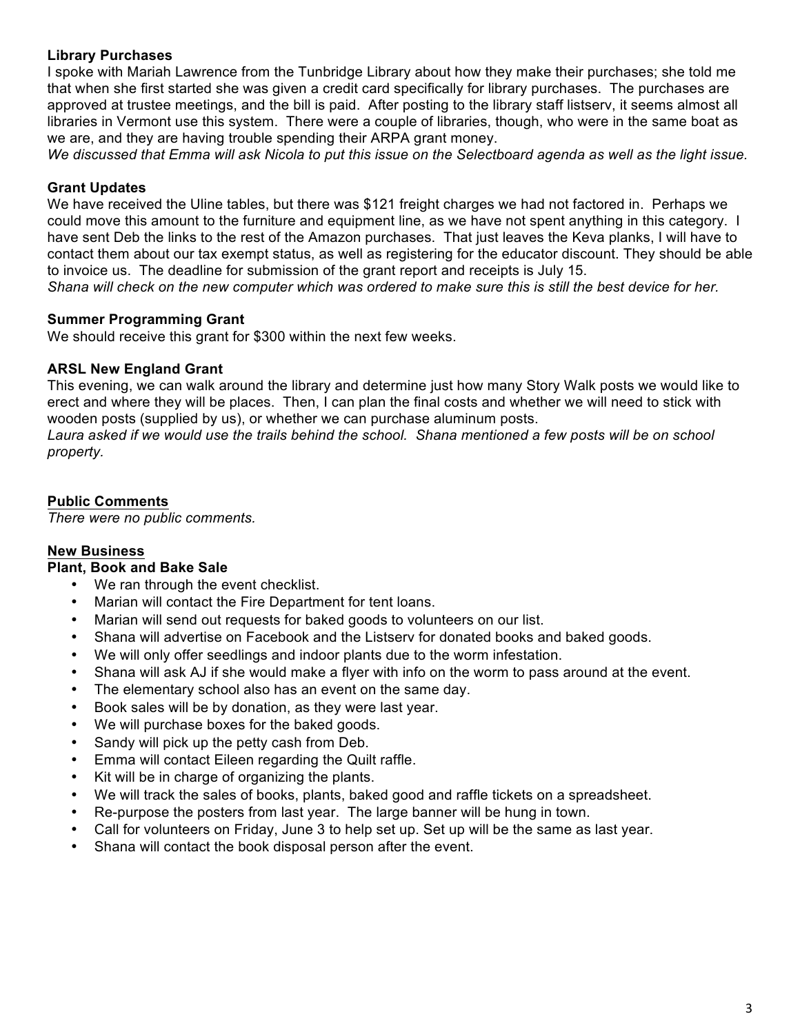## **Library Purchases**

I spoke with Mariah Lawrence from the Tunbridge Library about how they make their purchases; she told me that when she first started she was given a credit card specifically for library purchases. The purchases are approved at trustee meetings, and the bill is paid. After posting to the library staff listserv, it seems almost all libraries in Vermont use this system. There were a couple of libraries, though, who were in the same boat as we are, and they are having trouble spending their ARPA grant money.

*We discussed that Emma will ask Nicola to put this issue on the Selectboard agenda as well as the light issue.*

## **Grant Updates**

We have received the Uline tables, but there was \$121 freight charges we had not factored in. Perhaps we could move this amount to the furniture and equipment line, as we have not spent anything in this category. I have sent Deb the links to the rest of the Amazon purchases. That just leaves the Keva planks, I will have to contact them about our tax exempt status, as well as registering for the educator discount. They should be able to invoice us. The deadline for submission of the grant report and receipts is July 15. *Shana will check on the new computer which was ordered to make sure this is still the best device for her.*

## **Summer Programming Grant**

We should receive this grant for \$300 within the next few weeks.

## **ARSL New England Grant**

This evening, we can walk around the library and determine just how many Story Walk posts we would like to erect and where they will be places. Then, I can plan the final costs and whether we will need to stick with wooden posts (supplied by us), or whether we can purchase aluminum posts.

Laura asked if we would use the trails behind the school. Shana mentioned a few posts will be on school *property.*

### **Public Comments**

*There were no public comments.*

## **New Business**

## **Plant, Book and Bake Sale**

- We ran through the event checklist.
- Marian will contact the Fire Department for tent loans.
- Marian will send out requests for baked goods to volunteers on our list.
- Shana will advertise on Facebook and the Listserv for donated books and baked goods.
- We will only offer seedlings and indoor plants due to the worm infestation.
- Shana will ask AJ if she would make a flyer with info on the worm to pass around at the event.
- The elementary school also has an event on the same day.
- Book sales will be by donation, as they were last year.
- We will purchase boxes for the baked goods.
- Sandy will pick up the petty cash from Deb.
- Emma will contact Eileen regarding the Quilt raffle.
- Kit will be in charge of organizing the plants.
- We will track the sales of books, plants, baked good and raffle tickets on a spreadsheet.
- Re-purpose the posters from last year. The large banner will be hung in town.
- Call for volunteers on Friday, June 3 to help set up. Set up will be the same as last year.
- Shana will contact the book disposal person after the event.